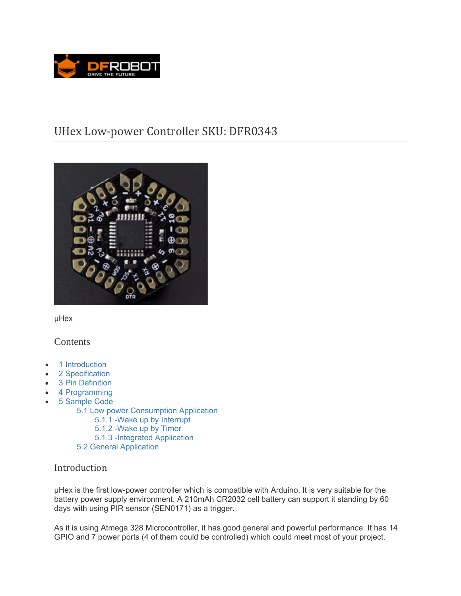

# UHex Low-power Controller SKU: DFR0343



μHex

# **Contents**

- 1 Introduction
- 2 Specification
- 3 Pin Definition
- 4 Programming
- 5 Sample Code
	- 5.1 Low power Consumption Application
		- 5.1.1 -Wake up by Interrupt
			- 5.1.2 -Wake up by Timer
		- 5.1.3 -Integrated Application
	- 5.2 General Application

# Introduction

μHex is the first low-power controller which is compatible with Arduino. It is very suitable for the battery power supply environment. A 210mAh CR2032 cell battery can support it standing by 60 days with using PIR sensor (SEN0171) as a trigger.

As it is using Atmega 328 Microcontroller, it has good general and powerful performance. It has 14 GPIO and 7 power ports (4 of them could be controlled) which could meet most of your project.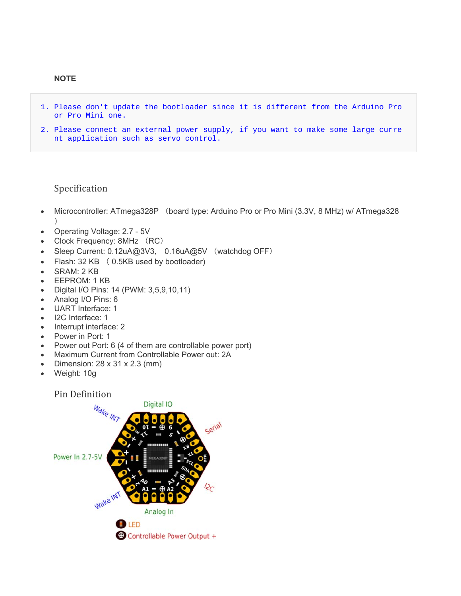- 1. Please don't update the bootloader since it is different from the Arduino Pro or Pro Mini one.
- 2. Please connect an external power supply, if you want to make some large curre nt application such as servo control.

# Specification

- Microcontroller: ATmega328P (board type: Arduino Pro or Pro Mini (3.3V, 8 MHz) w/ ATmega328  $)$
- Operating Voltage: 2.7 5V
- Clock Frequency: 8MHz (RC)
- Sleep Current: 0.12uA@3V3, 0.16uA@5V (watchdog OFF)
- Flash: 32 KB ( 0.5KB used by bootloader)
- SRAM: 2 KB
- EEPROM: 1 KB
- Digital I/O Pins: 14 (PWM: 3,5,9,10,11)
- Analog I/O Pins: 6
- UART Interface: 1
- I2C Interface: 1
- Interrupt interface: 2
- Power in Port: 1
- Power out Port: 6 (4 of them are controllable power port)
- Maximum Current from Controllable Power out: 2A
- Dimension:  $28 \times 31 \times 2.3$  (mm)
- Weight: 10g

#### Pin Definition

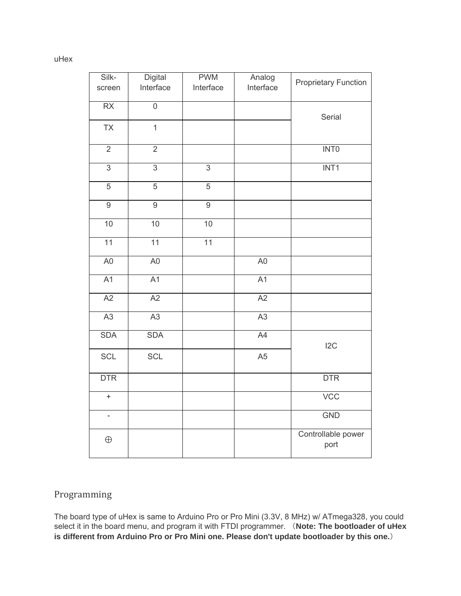#### uHex

| Silk-                    | <b>Digital</b>  | <b>PWM</b>     | Analog         | <b>Proprietary Function</b> |
|--------------------------|-----------------|----------------|----------------|-----------------------------|
| screen                   | Interface       | Interface      | Interface      |                             |
| RX                       | $\overline{0}$  |                |                | Serial                      |
| <b>TX</b>                | $\overline{1}$  |                |                |                             |
| $\overline{2}$           | $\overline{2}$  |                |                | INT <sub>0</sub>            |
| $\overline{3}$           | $\overline{3}$  | $\overline{3}$ |                | INT <sub>1</sub>            |
| 5                        | $\sqrt{5}$      | $\sqrt{5}$     |                |                             |
| $\overline{9}$           | $\overline{9}$  | $\overline{9}$ |                |                             |
| 10                       | 10              | 10             |                |                             |
| 11                       | $\overline{11}$ | 11             |                |                             |
| A <sub>0</sub>           | A <sub>0</sub>  |                | A <sub>0</sub> |                             |
| A1                       | A1              |                | A1             |                             |
| A2                       | A2              |                | A2             |                             |
| A3                       | A3              |                | A3             |                             |
| <b>SDA</b>               | <b>SDA</b>      |                | A4             | 12C                         |
| <b>SCL</b>               | <b>SCL</b>      |                | A <sub>5</sub> |                             |
| <b>DTR</b>               |                 |                |                | <b>DTR</b>                  |
| $\ddot{}$                |                 |                |                | VCC                         |
| $\overline{\phantom{0}}$ |                 |                |                | <b>GND</b>                  |
| $\oplus$                 |                 |                |                | Controllable power<br>port  |

# Programming

The board type of uHex is same to Arduino Pro or Pro Mini (3.3V, 8 MHz) w/ ATmega328, you could select it in the board menu, and program it with FTDI programmer. (**Note: The bootloader of uHex is different from Arduino Pro or Pro Mini one. Please don't update bootloader by this one.**)